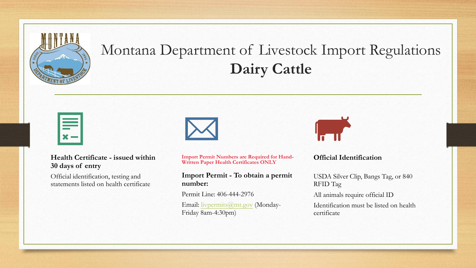

# Montana Department of Livestock Import Regulations **Dairy Cattle**

#### **Health Certificate - issued within 30 days of entry**

Official identification, testing and statements listed on health certificate



**Import Permit Numbers are Required for Hand-Written Paper Health Certificates ONLY**

#### **Import Permit - To obtain a permit number:**

Permit Line: 406-444-2976

Email: [livpermits@mt.gov](mailto:livpermits@mt.gov) (Monday-Friday 8am-4:30pm)



#### **Official Identification**

USDA Silver Clip, Bangs Tag, or 840 RFID Tag

All animals require official ID

Identification must be listed on health certificate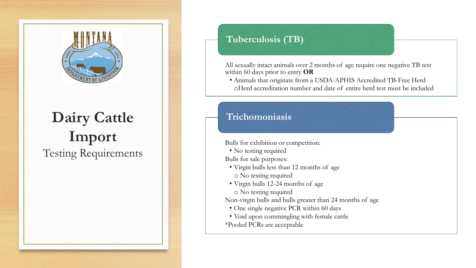

## **Dairy Cattle Import** Testing Requirements

**Tuberculosis (TB)**

All sexually intact animals over 2 months of age require one negative TB test within 60 days prior to entry **OR**

• Animals that originate from a USDA-APHIS Accredited TB-Free Herd oHerd accreditation number and date of entire herd test must be included

## **Trichomoniasis**

Bulls for exhibition or competition:

• No testing required

Bulls for sale purposes:

- Virgin bulls less than 12 months of age
- o No testing required
- Virgin bulls 12-24 months of age
- o No testing required

Non-virgin bulls and bulls greater than 24 months of age

- One single negative PCR within 60 days
- Void upon commingling with female cattle \*Pooled PCRs are acceptable